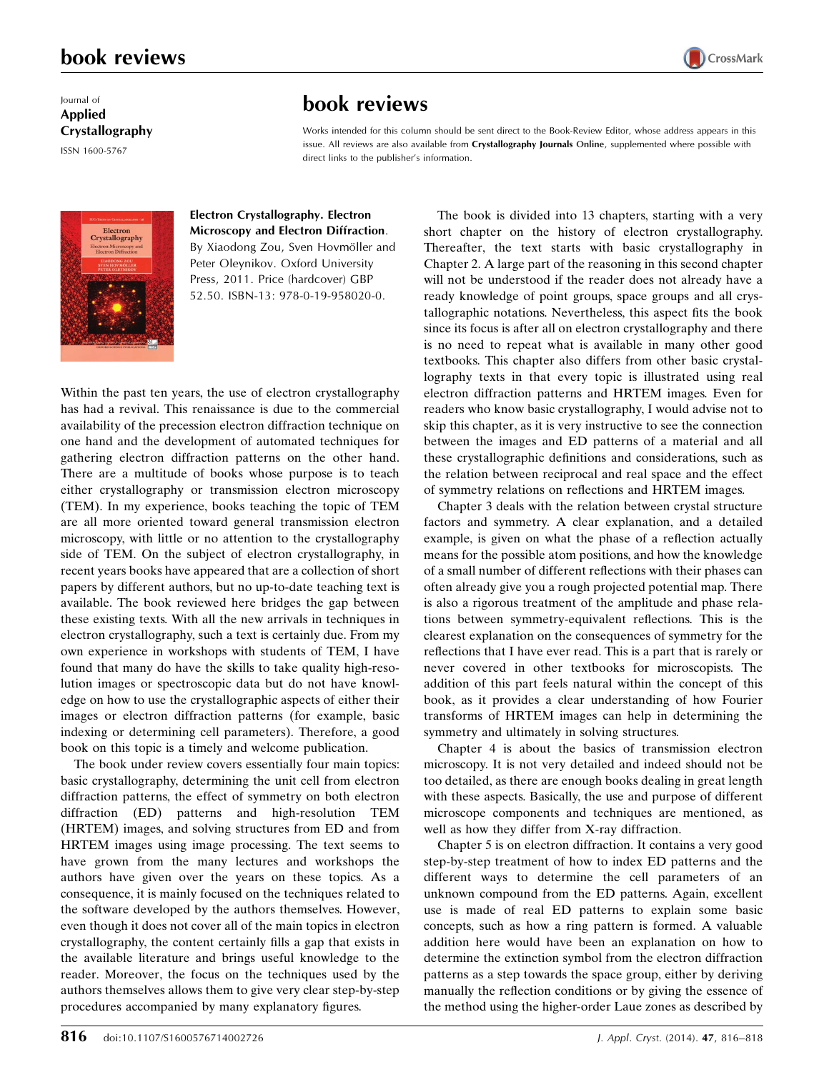## book reviews

### Journal of Applied Crystallography

ISSN 1600-5767

# book reviews

Works intended for this column should be sent direct to the Book-Review Editor, whose address appears in this issue. All reviews are also available from Crystallography Journals Online, supplemented where possible with direct links to the publisher's information.



#### Electron Crystallography. Electron Microscopy and Electron Diffraction.

By Xiaodong Zou, Sven Hovmöller and Peter Oleynikov. Oxford University Press, 2011. Price (hardcover) GBP 52.50. ISBN-13: 978-0-19-958020-0.

Within the past ten years, the use of electron crystallography has had a revival. This renaissance is due to the commercial availability of the precession electron diffraction technique on one hand and the development of automated techniques for gathering electron diffraction patterns on the other hand. There are a multitude of books whose purpose is to teach either crystallography or transmission electron microscopy (TEM). In my experience, books teaching the topic of TEM are all more oriented toward general transmission electron microscopy, with little or no attention to the crystallography side of TEM. On the subject of electron crystallography, in recent years books have appeared that are a collection of short papers by different authors, but no up-to-date teaching text is available. The book reviewed here bridges the gap between these existing texts. With all the new arrivals in techniques in electron crystallography, such a text is certainly due. From my own experience in workshops with students of TEM, I have found that many do have the skills to take quality high-resolution images or spectroscopic data but do not have knowledge on how to use the crystallographic aspects of either their images or electron diffraction patterns (for example, basic indexing or determining cell parameters). Therefore, a good book on this topic is a timely and welcome publication.

The book under review covers essentially four main topics: basic crystallography, determining the unit cell from electron diffraction patterns, the effect of symmetry on both electron diffraction (ED) patterns and high-resolution TEM (HRTEM) images, and solving structures from ED and from HRTEM images using image processing. The text seems to have grown from the many lectures and workshops the authors have given over the years on these topics. As a consequence, it is mainly focused on the techniques related to the software developed by the authors themselves. However, even though it does not cover all of the main topics in electron crystallography, the content certainly fills a gap that exists in the available literature and brings useful knowledge to the reader. Moreover, the focus on the techniques used by the authors themselves allows them to give very clear step-by-step procedures accompanied by many explanatory figures.

The book is divided into 13 chapters, starting with a very short chapter on the history of electron crystallography. Thereafter, the text starts with basic crystallography in Chapter 2. A large part of the reasoning in this second chapter will not be understood if the reader does not already have a ready knowledge of point groups, space groups and all crystallographic notations. Nevertheless, this aspect fits the book since its focus is after all on electron crystallography and there is no need to repeat what is available in many other good textbooks. This chapter also differs from other basic crystallography texts in that every topic is illustrated using real electron diffraction patterns and HRTEM images. Even for readers who know basic crystallography, I would advise not to skip this chapter, as it is very instructive to see the connection between the images and ED patterns of a material and all these crystallographic definitions and considerations, such as the relation between reciprocal and real space and the effect of symmetry relations on reflections and HRTEM images.

CrossMark

Chapter 3 deals with the relation between crystal structure factors and symmetry. A clear explanation, and a detailed example, is given on what the phase of a reflection actually means for the possible atom positions, and how the knowledge of a small number of different reflections with their phases can often already give you a rough projected potential map. There is also a rigorous treatment of the amplitude and phase relations between symmetry-equivalent reflections. This is the clearest explanation on the consequences of symmetry for the reflections that I have ever read. This is a part that is rarely or never covered in other textbooks for microscopists. The addition of this part feels natural within the concept of this book, as it provides a clear understanding of how Fourier transforms of HRTEM images can help in determining the symmetry and ultimately in solving structures.

Chapter 4 is about the basics of transmission electron microscopy. It is not very detailed and indeed should not be too detailed, as there are enough books dealing in great length with these aspects. Basically, the use and purpose of different microscope components and techniques are mentioned, as well as how they differ from X-ray diffraction.

Chapter 5 is on electron diffraction. It contains a very good step-by-step treatment of how to index ED patterns and the different ways to determine the cell parameters of an unknown compound from the ED patterns. Again, excellent use is made of real ED patterns to explain some basic concepts, such as how a ring pattern is formed. A valuable addition here would have been an explanation on how to determine the extinction symbol from the electron diffraction patterns as a step towards the space group, either by deriving manually the reflection conditions or by giving the essence of the method using the higher-order Laue zones as described by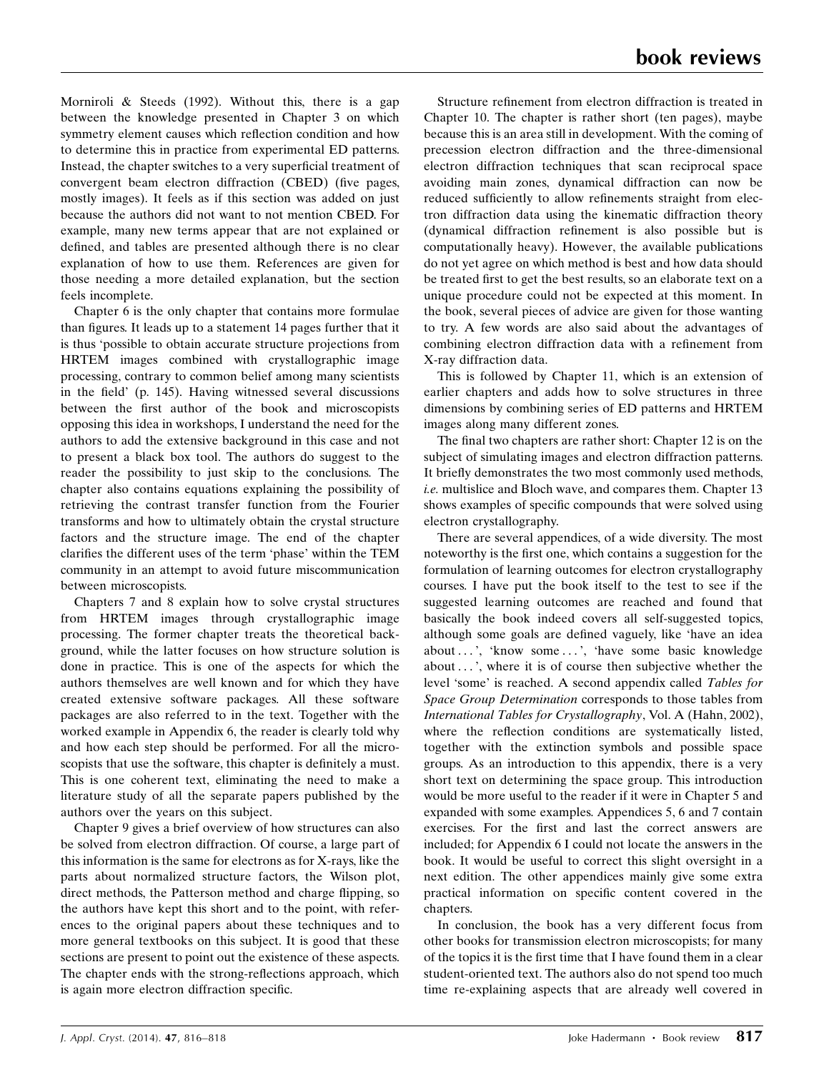Morniroli & Steeds (1992). Without this, there is a gap between the knowledge presented in Chapter 3 on which symmetry element causes which reflection condition and how to determine this in practice from experimental ED patterns. Instead, the chapter switches to a very superficial treatment of convergent beam electron diffraction (CBED) (five pages, mostly images). It feels as if this section was added on just because the authors did not want to not mention CBED. For example, many new terms appear that are not explained or defined, and tables are presented although there is no clear explanation of how to use them. References are given for those needing a more detailed explanation, but the section feels incomplete.

Chapter 6 is the only chapter that contains more formulae than figures. It leads up to a statement 14 pages further that it is thus 'possible to obtain accurate structure projections from HRTEM images combined with crystallographic image processing, contrary to common belief among many scientists in the field' (p. 145). Having witnessed several discussions between the first author of the book and microscopists opposing this idea in workshops, I understand the need for the authors to add the extensive background in this case and not to present a black box tool. The authors do suggest to the reader the possibility to just skip to the conclusions. The chapter also contains equations explaining the possibility of retrieving the contrast transfer function from the Fourier transforms and how to ultimately obtain the crystal structure factors and the structure image. The end of the chapter clarifies the different uses of the term 'phase' within the TEM community in an attempt to avoid future miscommunication between microscopists.

Chapters 7 and 8 explain how to solve crystal structures from HRTEM images through crystallographic image processing. The former chapter treats the theoretical background, while the latter focuses on how structure solution is done in practice. This is one of the aspects for which the authors themselves are well known and for which they have created extensive software packages. All these software packages are also referred to in the text. Together with the worked example in Appendix 6, the reader is clearly told why and how each step should be performed. For all the microscopists that use the software, this chapter is definitely a must. This is one coherent text, eliminating the need to make a literature study of all the separate papers published by the authors over the years on this subject.

Chapter 9 gives a brief overview of how structures can also be solved from electron diffraction. Of course, a large part of this information is the same for electrons as for X-rays, like the parts about normalized structure factors, the Wilson plot, direct methods, the Patterson method and charge flipping, so the authors have kept this short and to the point, with references to the original papers about these techniques and to more general textbooks on this subject. It is good that these sections are present to point out the existence of these aspects. The chapter ends with the strong-reflections approach, which is again more electron diffraction specific.

Structure refinement from electron diffraction is treated in Chapter 10. The chapter is rather short (ten pages), maybe because this is an area still in development. With the coming of precession electron diffraction and the three-dimensional electron diffraction techniques that scan reciprocal space avoiding main zones, dynamical diffraction can now be reduced sufficiently to allow refinements straight from electron diffraction data using the kinematic diffraction theory (dynamical diffraction refinement is also possible but is computationally heavy). However, the available publications do not yet agree on which method is best and how data should be treated first to get the best results, so an elaborate text on a unique procedure could not be expected at this moment. In the book, several pieces of advice are given for those wanting to try. A few words are also said about the advantages of combining electron diffraction data with a refinement from X-ray diffraction data.

This is followed by Chapter 11, which is an extension of earlier chapters and adds how to solve structures in three dimensions by combining series of ED patterns and HRTEM images along many different zones.

The final two chapters are rather short: Chapter 12 is on the subject of simulating images and electron diffraction patterns. It briefly demonstrates the two most commonly used methods, i.e. multislice and Bloch wave, and compares them. Chapter 13 shows examples of specific compounds that were solved using electron crystallography.

There are several appendices, of a wide diversity. The most noteworthy is the first one, which contains a suggestion for the formulation of learning outcomes for electron crystallography courses. I have put the book itself to the test to see if the suggested learning outcomes are reached and found that basically the book indeed covers all self-suggested topics, although some goals are defined vaguely, like 'have an idea about ...', 'know some ...', 'have some basic knowledge about ... ', where it is of course then subjective whether the level 'some' is reached. A second appendix called Tables for Space Group Determination corresponds to those tables from International Tables for Crystallography, Vol. A (Hahn, 2002), where the reflection conditions are systematically listed, together with the extinction symbols and possible space groups. As an introduction to this appendix, there is a very short text on determining the space group. This introduction would be more useful to the reader if it were in Chapter 5 and expanded with some examples. Appendices 5, 6 and 7 contain exercises. For the first and last the correct answers are included; for Appendix 6 I could not locate the answers in the book. It would be useful to correct this slight oversight in a next edition. The other appendices mainly give some extra practical information on specific content covered in the chapters.

In conclusion, the book has a very different focus from other books for transmission electron microscopists; for many of the topics it is the first time that I have found them in a clear student-oriented text. The authors also do not spend too much time re-explaining aspects that are already well covered in